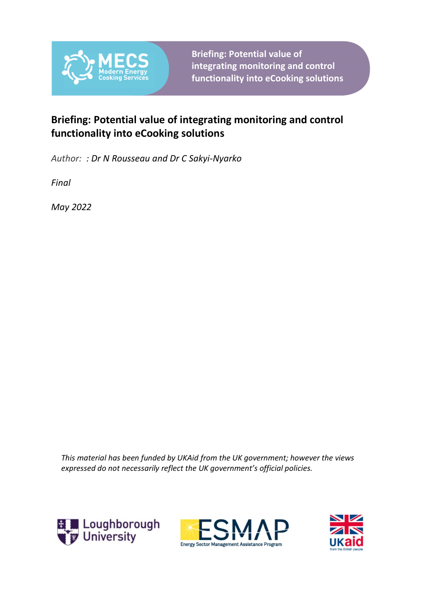

**Briefing: Potential value of integrating monitoring and control functionality into eCooking solutions**

### **Briefing: Potential value of integrating monitoring and control functionality into eCooking solutions**

*Author: : Dr N Rousseau and Dr C Sakyi-Nyarko*

*Final*

*May 2022*

*This material has been funded by UKAid from the UK government; however the views expressed do not necessarily reflect the UK government's official policies.*





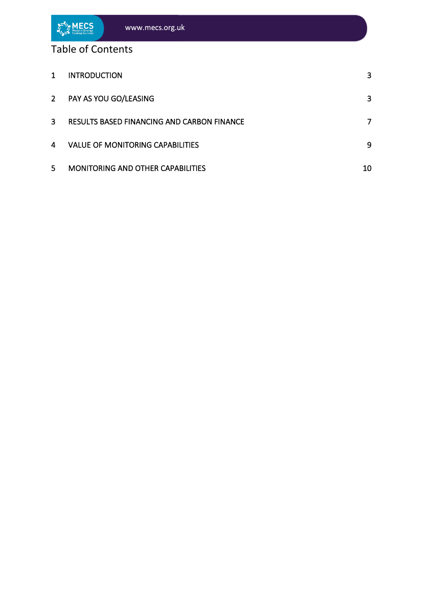

| 1              | <b>INTRODUCTION</b>                               | $\mathbf{3}$ |
|----------------|---------------------------------------------------|--------------|
| 2 <sup>7</sup> | PAY AS YOU GO/LEASING                             | 3            |
| 3              | <b>RESULTS BASED FINANCING AND CARBON FINANCE</b> |              |
| 4              | <b>VALUE OF MONITORING CAPABILITIES</b>           | 9            |
| 5              | <b>MONITORING AND OTHER CAPABILITIES</b>          | 10           |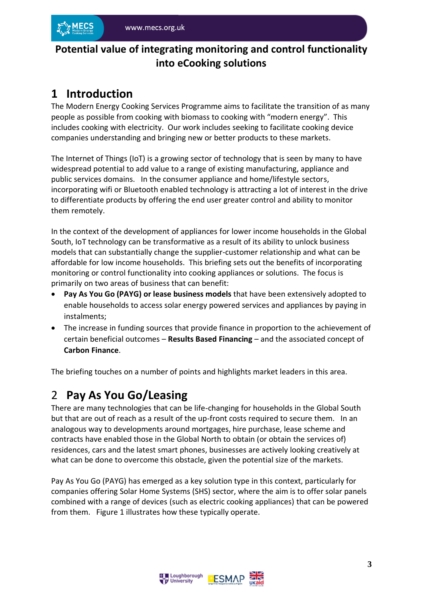### **Potential value of integrating monitoring and control functionality into eCooking solutions**

## <span id="page-2-0"></span>**1 Introduction**

The Modern Energy Cooking Services Programme aims to facilitate the transition of as many people as possible from cooking with biomass to cooking with "modern energy". This includes cooking with electricity. Our work includes seeking to facilitate cooking device companies understanding and bringing new or better products to these markets.

The Internet of Things (IoT) is a growing sector of technology that is seen by many to have widespread potential to add value to a range of existing manufacturing, appliance and public services domains. In the consumer appliance and home/lifestyle sectors, incorporating wifi or Bluetooth enabled technology is attracting a lot of interest in the drive to differentiate products by offering the end user greater control and ability to monitor them remotely.

In the context of the development of appliances for lower income households in the Global South, IoT technology can be transformative as a result of its ability to unlock business models that can substantially change the supplier-customer relationship and what can be affordable for low income households. This briefing sets out the benefits of incorporating monitoring or control functionality into cooking appliances or solutions. The focus is primarily on two areas of business that can benefit:

- **Pay As You Go (PAYG) or lease business models** that have been extensively adopted to enable households to access solar energy powered services and appliances by paying in instalments;
- The increase in funding sources that provide finance in proportion to the achievement of certain beneficial outcomes – **Results Based Financing** – and the associated concept of **Carbon Finance**.

The briefing touches on a number of points and highlights market leaders in this area.

# <span id="page-2-1"></span>2 **Pay As You Go/Leasing**

There are many technologies that can be life-changing for households in the Global South but that are out of reach as a result of the up-front costs required to secure them. In an analogous way to developments around mortgages, hire purchase, lease scheme and contracts have enabled those in the Global North to obtain (or obtain the services of) residences, cars and the latest smart phones, businesses are actively looking creatively at what can be done to overcome this obstacle, given the potential size of the markets.

Pay As You Go (PAYG) has emerged as a key solution type in this context, particularly for companies offering Solar Home Systems (SHS) sector, where the aim is to offer solar panels combined with a range of devices (such as electric cooking appliances) that can be powered from them. Figure 1 illustrates how these typically operate.

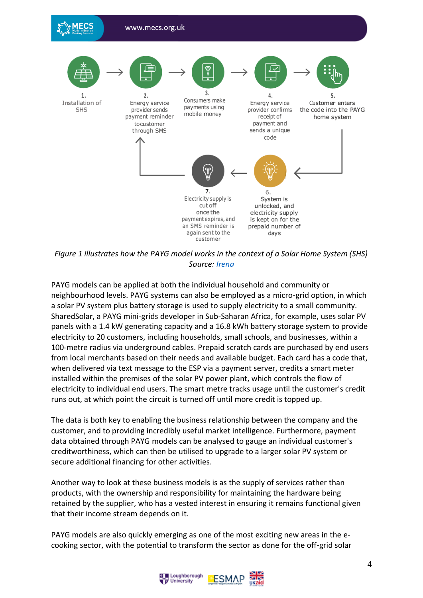

*Figure 1 illustrates how the PAYG model works in the context of a Solar Home System (SHS) Source: [Irena](https://www.irena.org/-/media/Files/IRENA/Agency/Publication/2020/Jul/IRENA_Pay-as-you-go_models_2020.pdf?la=en&hash=7A2E7A7FF8B5BAB7748670876667628A39DE40D5)*

PAYG models can be applied at both the individual household and community or neighbourhood levels. PAYG systems can also be employed as a micro-grid option, in which a solar PV system plus battery storage is used to supply electricity to a small community. SharedSolar, a PAYG mini-grids developer in Sub-Saharan Africa, for example, uses solar PV panels with a 1.4 kW generating capacity and a 16.8 kWh battery storage system to provide electricity to 20 customers, including households, small schools, and businesses, within a 100-metre radius via underground cables. Prepaid scratch cards are purchased by end users from local merchants based on their needs and available budget. Each card has a code that, when delivered via text message to the ESP via a payment server, credits a smart meter installed within the premises of the solar PV power plant, which controls the flow of electricity to individual end users. The smart metre tracks usage until the customer's credit runs out, at which point the circuit is turned off until more credit is topped up.

The data is both key to enabling the business relationship between the company and the customer, and to providing incredibly useful market intelligence. Furthermore, payment data obtained through PAYG models can be analysed to gauge an individual customer's creditworthiness, which can then be utilised to upgrade to a larger solar PV system or secure additional financing for other activities.

Another way to look at these business models is as the supply of services rather than products, with the ownership and responsibility for maintaining the hardware being retained by the supplier, who has a vested interest in ensuring it remains functional given that their income stream depends on it.

PAYG models are also quickly emerging as one of the most exciting new areas in the ecooking sector, with the potential to transform the sector as done for the off-grid solar

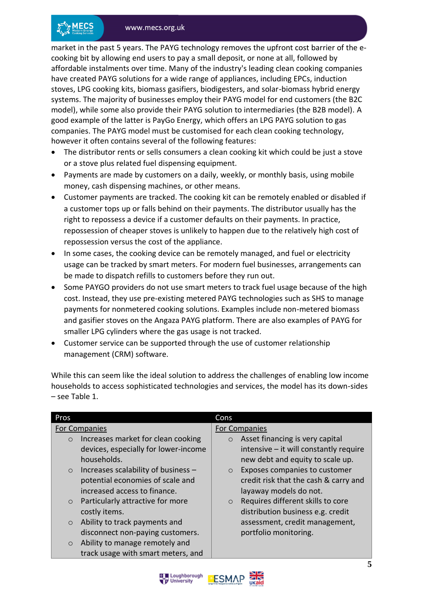market in the past 5 years. The PAYG technology removes the upfront cost barrier of the ecooking bit by allowing end users to pay a small deposit, or none at all, followed by affordable instalments over time. Many of the industry's leading clean cooking companies have created PAYG solutions for a wide range of appliances, including EPCs, induction stoves, LPG cooking kits, biomass gasifiers, biodigesters, and solar-biomass hybrid energy systems. The majority of businesses employ their PAYG model for end customers (the B2C model), while some also provide their PAYG solution to intermediaries (the B2B model). A good example of the latter is PayGo Energy, which offers an LPG PAYG solution to gas companies. The PAYG model must be customised for each clean cooking technology, however it often contains several of the following features:

- The distributor rents or sells consumers a clean cooking kit which could be just a stove or a stove plus related fuel dispensing equipment.
- Payments are made by customers on a daily, weekly, or monthly basis, using mobile money, cash dispensing machines, or other means.
- Customer payments are tracked. The cooking kit can be remotely enabled or disabled if a customer tops up or falls behind on their payments. The distributor usually has the right to repossess a device if a customer defaults on their payments. In practice, repossession of cheaper stoves is unlikely to happen due to the relatively high cost of repossession versus the cost of the appliance.
- In some cases, the cooking device can be remotely managed, and fuel or electricity usage can be tracked by smart meters. For modern fuel businesses, arrangements can be made to dispatch refills to customers before they run out.
- Some PAYGO providers do not use smart meters to track fuel usage because of the high cost. Instead, they use pre-existing metered PAYG technologies such as SHS to manage payments for nonmetered cooking solutions. Examples include non-metered biomass and gasifier stoves on the Angaza PAYG platform. There are also examples of PAYG for smaller LPG cylinders where the gas usage is not tracked.
- Customer service can be supported through the use of customer relationship management (CRM) software.

While this can seem like the ideal solution to address the challenges of enabling low income households to access sophisticated technologies and services, the model has its down-sides – see Table 1.

| Cons                                         |
|----------------------------------------------|
| <b>For Companies</b>                         |
| Asset financing is very capital<br>$\circ$   |
| intensive - it will constantly require       |
| new debt and equity to scale up.             |
| Exposes companies to customer<br>$\circ$     |
| credit risk that the cash & carry and        |
| layaway models do not.                       |
| Requires different skills to core<br>$\circ$ |
| distribution business e.g. credit            |
| assessment, credit management,               |
| portfolio monitoring.                        |
|                                              |
|                                              |
|                                              |



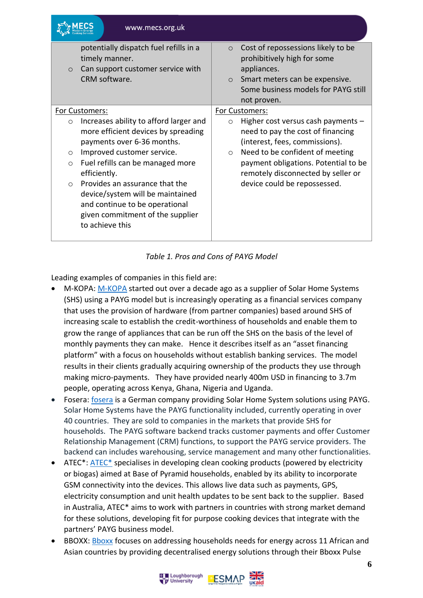| www.mecs.org.uk                                                                                                                                                                                                                                                                                                                                                                                                              |                                                                                                                                                                                                                                                                                                      |
|------------------------------------------------------------------------------------------------------------------------------------------------------------------------------------------------------------------------------------------------------------------------------------------------------------------------------------------------------------------------------------------------------------------------------|------------------------------------------------------------------------------------------------------------------------------------------------------------------------------------------------------------------------------------------------------------------------------------------------------|
| potentially dispatch fuel refills in a<br>timely manner.<br>Can support customer service with<br>$\circ$<br>CRM software.                                                                                                                                                                                                                                                                                                    | Cost of repossessions likely to be<br>$\circ$<br>prohibitively high for some<br>appliances.<br>Smart meters can be expensive.<br>$\circ$<br>Some business models for PAYG still<br>not proven.                                                                                                       |
| For Customers:<br>Increases ability to afford larger and<br>$\circ$<br>more efficient devices by spreading<br>payments over 6-36 months.<br>Improved customer service.<br>$\circ$<br>Fuel refills can be managed more<br>$\circ$<br>efficiently.<br>Provides an assurance that the<br>$\bigcap$<br>device/system will be maintained<br>and continue to be operational<br>given commitment of the supplier<br>to achieve this | For Customers:<br>Higher cost versus cash payments $-$<br>$\circ$<br>need to pay the cost of financing<br>(interest, fees, commissions).<br>Need to be confident of meeting<br>$\circ$<br>payment obligations. Potential to be<br>remotely disconnected by seller or<br>device could be repossessed. |

#### *Table 1. Pros and Cons of PAYG Model*

Leading examples of companies in this field are:

- M-KOPA: [M-KOPA](https://m-kopa.com/) started out over a decade ago as a supplier of Solar Home Systems (SHS) using a PAYG model but is increasingly operating as a financial services company that uses the provision of hardware (from partner companies) based around SHS of increasing scale to establish the credit-worthiness of households and enable them to grow the range of appliances that can be run off the SHS on the basis of the level of monthly payments they can make. Hence it describes itself as an "asset financing platform" with a focus on households without establish banking services. The model results in their clients gradually acquiring ownership of the products they use through making micro-payments. They have provided nearly 400m USD in financing to 3.7m people, operating across Kenya, Ghana, Nigeria and Uganda.
- Fosera: [fosera](https://fosera.com/) is a German company providing Solar Home System solutions using PAYG. Solar Home Systems have the PAYG functionality included, currently operating in over 40 countries. They are sold to companies in the markets that provide SHS for households. The PAYG software backend tracks customer payments and offer Customer Relationship Management (CRM) functions, to support the PAYG service providers. The backend can includes warehousing, service management and many other functionalities.
- ATEC<sup>\*</sup>: ATEC<sup>\*</sup> specialises in developing clean cooking products (powered by electricity or biogas) aimed at Base of Pyramid households, enabled by its ability to incorporate GSM connectivity into the devices. This allows live data such as payments, GPS, electricity consumption and unit health updates to be sent back to the supplier. Based in Australia, ATEC\* aims to work with partners in countries with strong market demand for these solutions, developing fit for purpose cooking devices that integrate with the partners' PAYG business model.
- BBOXX: [Bboxx](https://www.bboxx.com/) focuses on addressing households needs for energy across 11 African and Asian countries by providing decentralised energy solutions through their Bboxx Pulse

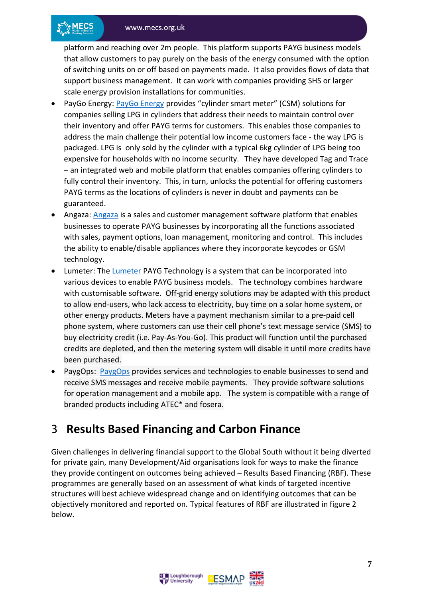platform and reaching over 2m people. This platform supports PAYG business models that allow customers to pay purely on the basis of the energy consumed with the option of switching units on or off based on payments made. It also provides flows of data that support business management. It can work with companies providing SHS or larger scale energy provision installations for communities.

- PayGo Energy: [PayGo Energy](https://www.paygoenergy.co/) provides "cylinder smart meter" (CSM) solutions for companies selling LPG in cylinders that address their needs to maintain control over their inventory and offer PAYG terms for customers. This enables those companies to address the main challenge their potential low income customers face - the way LPG is packaged. LPG is only sold by the cylinder with a typical 6kg cylinder of LPG being too expensive for households with no income security. They have developed Tag and Trace – an integrated web and mobile platform that enables companies offering cylinders to fully control their inventory. This, in turn, unlocks the potential for offering customers PAYG terms as the locations of cylinders is never in doubt and payments can be guaranteed.
- Angaza: [Angaza](https://www.angaza.com/) is a sales and customer management software platform that enables businesses to operate PAYG businesses by incorporating all the functions associated with sales, payment options, loan management, monitoring and control. This includes the ability to enable/disable appliances where they incorporate keycodes or GSM technology.
- Lumeter: The [Lumeter](https://www.engineeringforchange.org/solutions/product/lumeter-payg-technology/) PAYG Technology is a system that can be incorporated into various devices to enable PAYG business models. The technology combines hardware with customisable software. Off-grid energy solutions may be adapted with this product to allow end-users, who lack access to electricity, buy time on a solar home system, or other energy products. Meters have a payment mechanism similar to a pre-paid cell phone system, where customers can use their cell phone's text message service (SMS) to buy electricity credit (i.e. Pay-As-You-Go). This product will function until the purchased credits are depleted, and then the metering system will disable it until more credits have been purchased.
- PaygOps: [PaygOps](https://www.paygops.com/) provides services and technologies to enable businesses to send and receive SMS messages and receive mobile payments. They provide software solutions for operation management and a mobile app. The system is compatible with a range of branded products including ATEC\* and fosera.

### <span id="page-6-0"></span>3 **Results Based Financing and Carbon Finance**

Given challenges in delivering financial support to the Global South without it being diverted for private gain, many Development/Aid organisations look for ways to make the finance they provide contingent on outcomes being achieved – Results Based Financing (RBF). These programmes are generally based on an assessment of what kinds of targeted incentive structures will best achieve widespread change and on identifying outcomes that can be objectively monitored and reported on. Typical features of RBF are illustrated in figure 2 below.



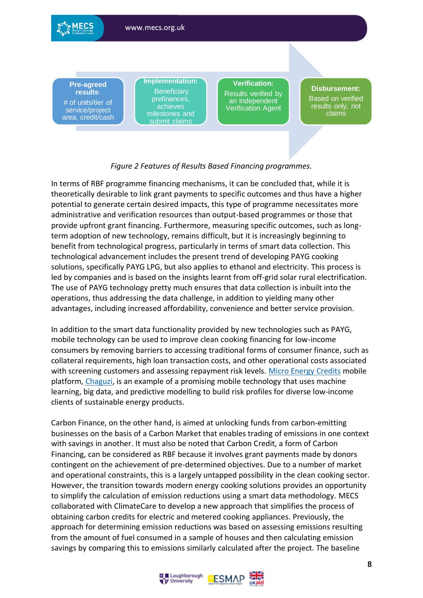

#### *Figure 2 Features of Results Based Financing programmes.*

In terms of RBF programme financing mechanisms, it can be concluded that, while it is theoretically desirable to link grant payments to specific outcomes and thus have a higher potential to generate certain desired impacts, this type of programme necessitates more administrative and verification resources than output-based programmes or those that provide upfront grant financing. Furthermore, measuring specific outcomes, such as longterm adoption of new technology, remains difficult, but it is increasingly beginning to benefit from technological progress, particularly in terms of smart data collection. This technological advancement includes the present trend of developing PAYG cooking solutions, specifically PAYG LPG, but also applies to ethanol and electricity. This process is led by companies and is based on the insights learnt from off-grid solar rural electrification. The use of PAYG technology pretty much ensures that data collection is inbuilt into the operations, thus addressing the data challenge, in addition to yielding many other advantages, including increased affordability, convenience and better service provision.

In addition to the smart data functionality provided by new technologies such as PAYG, mobile technology can be used to improve clean cooking financing for low-income consumers by removing barriers to accessing traditional forms of consumer finance, such as collateral requirements, high loan transaction costs, and other operational costs associated with screening customers and assessing repayment risk levels. [Micro Energy Credits](https://microenergycredits.com/) mobile platform, [Chaguzi,](https://chaguzi.microenergycredits.com/) is an example of a promising mobile technology that uses machine learning, big data, and predictive modelling to build risk profiles for diverse low-income clients of sustainable energy products.

Carbon Finance, on the other hand, is aimed at unlocking funds from carbon-emitting businesses on the basis of a Carbon Market that enables trading of emissions in one context with savings in another. It must also be noted that Carbon Credit, a form of Carbon Financing, can be considered as RBF because it involves grant payments made by donors contingent on the achievement of pre-determined objectives. Due to a number of market and operational constraints, this is a largely untapped possibility in the clean cooking sector. However, the transition towards modern energy cooking solutions provides an opportunity to simplify the calculation of emission reductions using a smart data methodology. MECS collaborated with ClimateCare to develop a new approach that simplifies the process of obtaining carbon credits for electric and metered cooking appliances. Previously, the approach for determining emission reductions was based on assessing emissions resulting from the amount of fuel consumed in a sample of houses and then calculating emission savings by comparing this to emissions similarly calculated after the project. The baseline

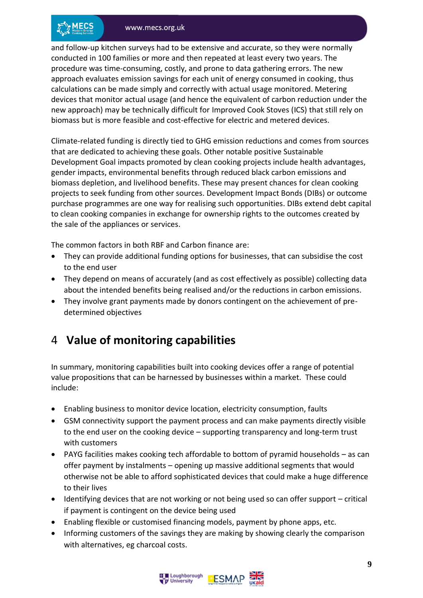and follow-up kitchen surveys had to be extensive and accurate, so they were normally conducted in 100 families or more and then repeated at least every two years. The procedure was time-consuming, costly, and prone to data gathering errors. The new approach evaluates emission savings for each unit of energy consumed in cooking, thus calculations can be made simply and correctly with actual usage monitored. Metering devices that monitor actual usage (and hence the equivalent of carbon reduction under the new approach) may be technically difficult for Improved Cook Stoves (ICS) that still rely on biomass but is more feasible and cost-effective for electric and metered devices.

Climate-related funding is directly tied to GHG emission reductions and comes from sources that are dedicated to achieving these goals. Other notable positive Sustainable Development Goal impacts promoted by clean cooking projects include health advantages, gender impacts, environmental benefits through reduced black carbon emissions and biomass depletion, and livelihood benefits. These may present chances for clean cooking projects to seek funding from other sources. Development Impact Bonds (DIBs) or outcome purchase programmes are one way for realising such opportunities. DIBs extend debt capital to clean cooking companies in exchange for ownership rights to the outcomes created by the sale of the appliances or services.

The common factors in both RBF and Carbon finance are:

- They can provide additional funding options for businesses, that can subsidise the cost to the end user
- They depend on means of accurately (and as cost effectively as possible) collecting data about the intended benefits being realised and/or the reductions in carbon emissions.
- They involve grant payments made by donors contingent on the achievement of predetermined objectives

# <span id="page-8-0"></span>4 **Value of monitoring capabilities**

In summary, monitoring capabilities built into cooking devices offer a range of potential value propositions that can be harnessed by businesses within a market. These could include:

- Enabling business to monitor device location, electricity consumption, faults
- GSM connectivity support the payment process and can make payments directly visible to the end user on the cooking device – supporting transparency and long-term trust with customers
- PAYG facilities makes cooking tech affordable to bottom of pyramid households as can offer payment by instalments – opening up massive additional segments that would otherwise not be able to afford sophisticated devices that could make a huge difference to their lives
- Identifying devices that are not working or not being used so can offer support critical if payment is contingent on the device being used
- Enabling flexible or customised financing models, payment by phone apps, etc.
- Informing customers of the savings they are making by showing clearly the comparison with alternatives, eg charcoal costs.